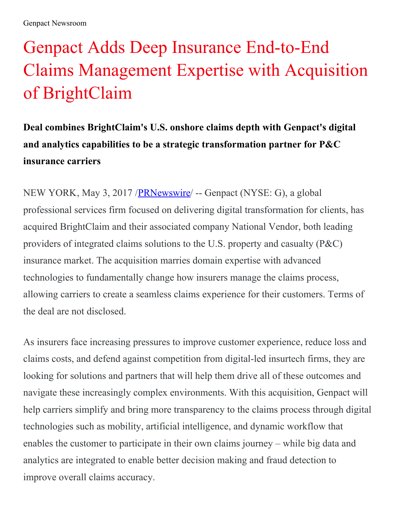## Genpact Adds Deep Insurance End-to-End Claims Management Expertise with Acquisition of BrightClaim

**Deal combines BrightClaim's U.S. onshore claims depth with Genpact's digital and analytics capabilities to be a strategic transformation partner for P&C insurance carriers**

NEW YORK, May 3, 2017 [/PRNewswire](http://www.prnewswire.com/)/ -- Genpact (NYSE: G), a global professional services firm focused on delivering digital transformation for clients, has acquired BrightClaim and their associated company National Vendor, both leading providers of integrated claims solutions to the U.S. property and casualty (P&C) insurance market. The acquisition marries domain expertise with advanced technologies to fundamentally change how insurers manage the claims process, allowing carriers to create a seamless claims experience for their customers. Terms of the deal are not disclosed.

As insurers face increasing pressures to improve customer experience, reduce loss and claims costs, and defend against competition from digital-led insurtech firms, they are looking for solutions and partners that will help them drive all of these outcomes and navigate these increasingly complex environments. With this acquisition, Genpact will help carriers simplify and bring more transparency to the claims process through digital technologies such as mobility, artificial intelligence, and dynamic workflow that enables the customer to participate in their own claims journey – while big data and analytics are integrated to enable better decision making and fraud detection to improve overall claims accuracy.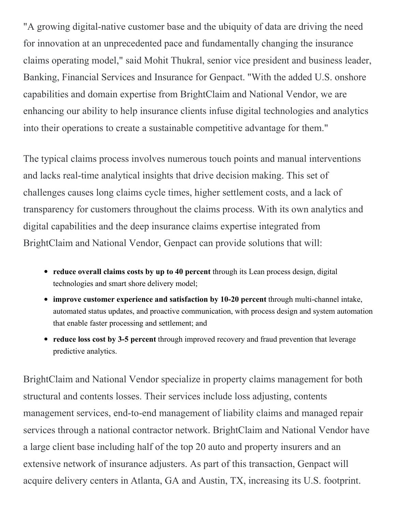"A growing digital-native customer base and the ubiquity of data are driving the need for innovation at an unprecedented pace and fundamentally changing the insurance claims operating model," said Mohit Thukral, senior vice president and business leader, Banking, Financial Services and Insurance for Genpact. "With the added U.S. onshore capabilities and domain expertise from BrightClaim and National Vendor, we are enhancing our ability to help insurance clients infuse digital technologies and analytics into their operations to create a sustainable competitive advantage for them."

The typical claims process involves numerous touch points and manual interventions and lacks real-time analytical insights that drive decision making. This set of challenges causes long claims cycle times, higher settlement costs, and a lack of transparency for customers throughout the claims process. With its own analytics and digital capabilities and the deep insurance claims expertise integrated from BrightClaim and National Vendor, Genpact can provide solutions that will:

- **reduce overall claims costs by up to 40 percent** through its Lean process design, digital technologies and smart shore delivery model;
- **improve customer experience and satisfaction by 10-20 percent** through multi-channel intake, automated status updates, and proactive communication, with process design and system automation that enable faster processing and settlement; and
- **reduce loss cost by 3-5 percent** through improved recovery and fraud prevention that leverage predictive analytics.

BrightClaim and National Vendor specialize in property claims management for both structural and contents losses. Their services include loss adjusting, contents management services, end-to-end management of liability claims and managed repair services through a national contractor network. BrightClaim and National Vendor have a large client base including half of the top 20 auto and property insurers and an extensive network of insurance adjusters. As part of this transaction, Genpact will acquire delivery centers in Atlanta, GA and Austin, TX, increasing its U.S. footprint.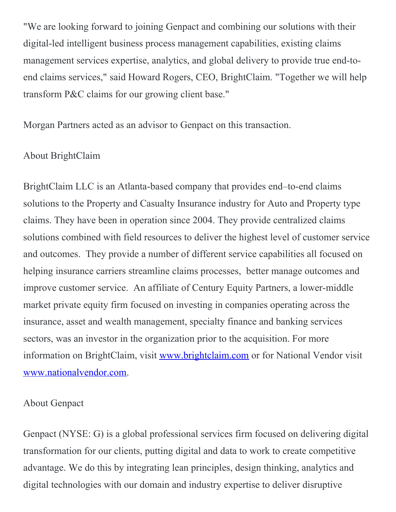"We are looking forward to joining Genpact and combining our solutions with their digital-led intelligent business process management capabilities, existing claims management services expertise, analytics, and global delivery to provide true end-toend claims services," said Howard Rogers, CEO, BrightClaim. "Together we will help transform P&C claims for our growing client base."

Morgan Partners acted as an advisor to Genpact on this transaction.

## About BrightClaim

BrightClaim LLC is an Atlanta-based company that provides end–to-end claims solutions to the Property and Casualty Insurance industry for Auto and Property type claims. They have been in operation since 2004. They provide centralized claims solutions combined with field resources to deliver the highest level of customer service and outcomes. They provide a number of different service capabilities all focused on helping insurance carriers streamline claims processes, better manage outcomes and improve customer service. An affiliate of Century Equity Partners, a lower-middle market private equity firm focused on investing in companies operating across the insurance, asset and wealth management, specialty finance and banking services sectors, was an investor in the organization prior to the acquisition. For more information on BrightClaim, visit [www.brightclaim.com](http://www.brightclaim.com/) or for National Vendor visit [www.nationalvendor.com](http://www.nationalvendor.com/).

## About Genpact

Genpact (NYSE: G) is a global professional services firm focused on delivering digital transformation for our clients, putting digital and data to work to create competitive advantage. We do this by integrating lean principles, design thinking, analytics and digital technologies with our domain and industry expertise to deliver disruptive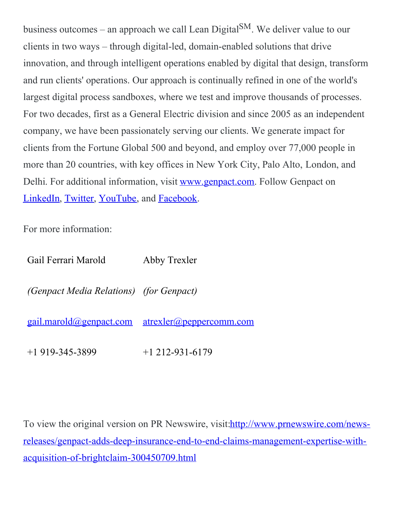business outcomes – an approach we call Lean Digital  $\text{SM}$ . We deliver value to our clients in two ways – through digital-led, domain-enabled solutions that drive innovation, and through intelligent operations enabled by digital that design, transform and run clients' operations. Our approach is continually refined in one of the world's largest digital process sandboxes, where we test and improve thousands of processes. For two decades, first as a General Electric division and since 2005 as an independent company, we have been passionately serving our clients. We generate impact for clients from the Fortune Global 500 and beyond, and employ over 77,000 people in more than 20 countries, with key offices in New York City, Palo Alto, London, and Delhi. For additional information, visit [www.genpact.com](http://www.genpact.com/). Follow Genpact on [LinkedIn](http://www.linkedin.com/company/210064?trk=tyah), [Twitter](https://twitter.com/genpact), [YouTube](https://www.youtube.com/user/GenpactLtd), and [Facebook](http://www.facebook.com/pages/Genpact/105635026136729).

For more information:

| Gail Ferrari Marold                            | Abby Trexler                                           |
|------------------------------------------------|--------------------------------------------------------|
| <i>(Genpact Media Relations) (for Genpact)</i> |                                                        |
|                                                | <u>gail.marold@genpact.com atrexler@peppercomm.com</u> |
| $+1919-345-3899$                               | $+1$ 212-931-6179                                      |

To view the original version on PR Newswire, visit: http://www.prnewswire.com/news[releases/genpact-adds-deep-insurance-end-to-end-claims-management-expertise-with](http://www.prnewswire.com/news-releases/genpact-adds-deep-insurance-end-to-end-claims-management-expertise-with-acquisition-of-brightclaim-300450709.html)acquisition-of-brightclaim-300450709.html